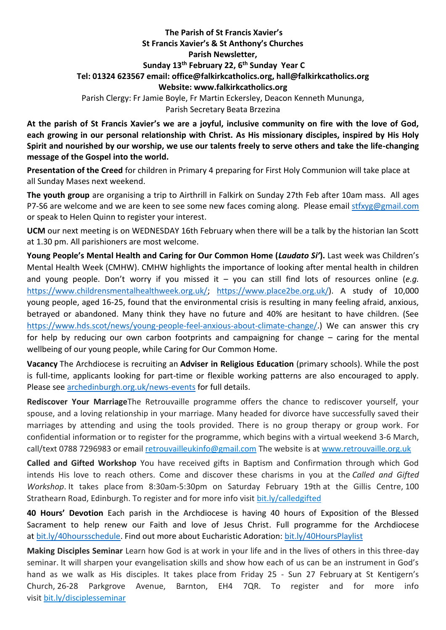## **The Parish of St Francis Xavier's St Francis Xavier's & St Anthony's Churches Parish Newsletter, Sunday 13th February 22, 6 th Sunday Year C Tel: 01324 623567 email: office@falkirkcatholics.org, [hall@falkirkcatholics.org](mailto:hall@falkirkcatholics.org) Website: [www.falkirkcatholics.org](http://www.falkirkcatholics.org/)**  Parish Clergy: Fr Jamie Boyle, Fr Martin Eckersley, Deacon Kenneth Mununga, Parish Secretary Beata Brzezina

**At the parish of St Francis Xavier's we are a joyful, inclusive community on fire with the love of God, each growing in our personal relationship with Christ. As His missionary disciples, inspired by His Holy Spirit and nourished by our worship, we use our talents freely to serve others and take the life-changing message of the Gospel into the world.** 

**Presentation of the Creed** for children in Primary 4 preparing for First Holy Communion will take place at all Sunday Mases next weekend.

**The youth group** are organising a trip to Airthrill in Falkirk on Sunday 27th Feb after 10am mass. All ages P7-S6 are welcome and we are keen to see some new faces coming along. Please email [stfxyg@gmail.com](mailto:stfxyg@gmail.com) or speak to Helen Quinn to register your interest.

**UCM** our next meeting is on WEDNESDAY 16th February when there will be a talk by the historian Ian Scott at 1.30 pm. All parishioners are most welcome.

**Young People's Mental Health and Caring for Our Common Home (***Laudato Si'***).** Last week was Children's Mental Health Week (CMHW). CMHW highlights the importance of looking after mental health in children and young people. Don't worry if you missed it – you can still find lots of resources online (*e.g.* [https://www.childrensmentalhealthweek.org.uk/;](https://www.childrensmentalhealthweek.org.uk/) [https://www.place2be.org.uk/\)](https://www.place2be.org.uk/). A study of 10,000 young people, aged 16-25, found that the environmental crisis is resulting in many feeling afraid, anxious, betrayed or abandoned. Many think they have no future and 40% are hesitant to have children. (See [https://www.hds.scot/news/young-people-feel-anxious-about-climate-change/.](https://www.hds.scot/news/young-people-feel-anxious-about-climate-change/)) We can answer this cry for help by reducing our own carbon footprints and campaigning for change – caring for the mental wellbeing of our young people, while Caring for Our Common Home.

**Vacancy** The Archdiocese is recruiting an **Adviser in Religious Education** (primary schools). While the post is full-time, applicants looking for part-time or flexible working patterns are also encouraged to apply. Please see [archedinburgh.org.uk/news-events](https://archedinburgh.org/vacancy-adviser-in-religious-education-primary-schools/?fbclid=IwAR30IabWWkZZZBp6FUA4QTm44rrHhxZrQlTLF2mevhvXgW9hfG-fUSfbrlk) for full details.

**Rediscover Your Marriage**The Retrouvaille programme offers the chance to rediscover yourself, your spouse, and a loving relationship in your marriage. Many headed for divorce have successfully saved their marriages by attending and using the tools provided. There is no group therapy or group work. For confidential information or to register for the programme, which begins with a virtual weekend 3-6 March, call/text 0788 7296983 or email [retrouvailleukinfo@gmail.com](https://mailto:retrouvailleukinfo@gmail.com/) The website is at [www.retrouvaille.org.uk](http://www.retrouvaille.org.uk/)

**Called and Gifted Workshop** You have received gifts in Baptism and Confirmation through which God intends His love to reach others. Come and discover these charisms in you at the *Called and Gifted Workshop*. It takes place from 8:30am-5:30pm on Saturday February 19th at the Gillis Centre, 100 Strathearn Road, Edinburgh. To register and for more info visit [bit.ly/calledgifted](https://www.eventbrite.co.uk/e/called-gifted-workshop-tickets-254444830337)

**40 Hours' Devotion** Each parish in the Archdiocese is having 40 hours of Exposition of the Blessed Sacrament to help renew our Faith and love of Jesus Christ. Full programme for the Archdiocese at [bit.ly/40hoursschedule.](https://emea01.safelinks.protection.outlook.com/?url=https%3A%2F%2Fbit.ly%2F40hoursschedule%3Ffbclid%3DIwAR2SjJ2jLYhcQumxKK24uHJHDu0y-uda3HFzPBQ4uxFkH3KVV6pbMOMH8xU&data=04%7C01%7C%7Cc57bc7b1a491426d9de808d9db59c6dd%7C84df9e7fe9f640afb435aaaaaaaaaaaa%7C1%7C0%7C637782001076685620%7CUnknown%7CTWFpbGZsb3d8eyJWIjoiMC4wLjAwMDAiLCJQIjoiV2luMzIiLCJBTiI6Ik1haWwiLCJXVCI6Mn0%3D%7C3000&sdata=qMwFypxIEvvbBw2Y4lplzUlpHlYQCHUi6LaXHcbemMY%3D&reserved=0) Find out more about Eucharistic Adoration: [bit.ly/40HoursPlaylist](https://emea01.safelinks.protection.outlook.com/?url=https%3A%2F%2Fwww.youtube.com%2Fplaylist%3Flist%3DPLQv_xMj23KQhTlXah0pBiYjsZDFx2grae&data=04%7C01%7C%7Cc57bc7b1a491426d9de808d9db59c6dd%7C84df9e7fe9f640afb435aaaaaaaaaaaa%7C1%7C0%7C637782001076685620%7CUnknown%7CTWFpbGZsb3d8eyJWIjoiMC4wLjAwMDAiLCJQIjoiV2luMzIiLCJBTiI6Ik1haWwiLCJXVCI6Mn0%3D%7C3000&sdata=1W4heFX3D1jFaHrY0MjrjRMDQT2XjCRvtH9A549gsQE%3D&reserved=0)

**Making Disciples Seminar** Learn how God is at work in your life and in the lives of others in this three-day seminar. It will sharpen your evangelisation skills and show how each of us can be an instrument in God's hand as we walk as His disciples. It takes place from Friday 25 - Sun 27 February at St Kentigern's Church, 26-28 Parkgrove Avenue, Barnton, EH4 7QR. To register and for more info visit [bit.ly/disciplesseminar](https://www.eventbrite.co.uk/e/making-disciples-seminar-tickets-254469072847)